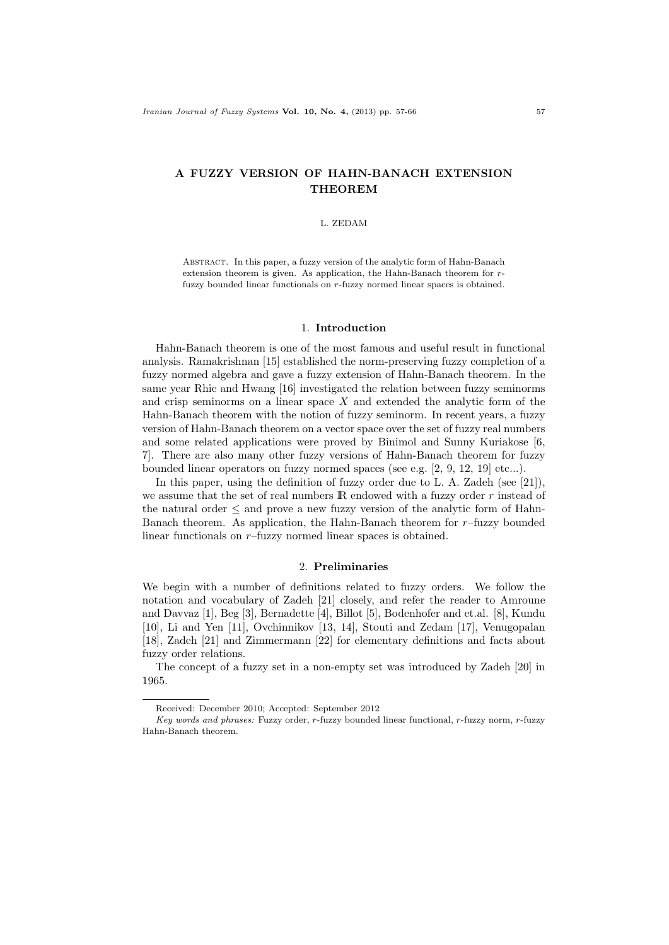# A FUZZY VERSION OF HAHN-BANACH EXTENSION **THEOREM**

## L. ZEDAM

Abstract. In this paper, a fuzzy version of the analytic form of Hahn-Banach extension theorem is given. As application, the Hahn-Banach theorem for rfuzzy bounded linear functionals on r-fuzzy normed linear spaces is obtained.

## 1. Introduction

Hahn-Banach theorem is one of the most famous and useful result in functional analysis. Ramakrishnan [15] established the norm-preserving fuzzy completion of a fuzzy normed algebra and gave a fuzzy extension of Hahn-Banach theorem. In the same year Rhie and Hwang [16] investigated the relation between fuzzy seminorms and crisp seminorms on a linear space  $X$  and extended the analytic form of the Hahn-Banach theorem with the notion of fuzzy seminorm. In recent years, a fuzzy version of Hahn-Banach theorem on a vector space over the set of fuzzy real numbers and some related applications were proved by Binimol and Sunny Kuriakose [6, 7]. There are also many other fuzzy versions of Hahn-Banach theorem for fuzzy bounded linear operators on fuzzy normed spaces (see e.g.  $[2, 9, 12, 19]$  etc...).

In this paper, using the definition of fuzzy order due to L. A. Zadeh (see [21]), we assume that the set of real numbers  $\mathbb R$  endowed with a fuzzy order  $r$  instead of the natural order ≤ and prove a new fuzzy version of the analytic form of Hahn-Banach theorem. As application, the Hahn-Banach theorem for  $r$ -fuzzy bounded linear functionals on r–fuzzy normed linear spaces is obtained.

## 2. Preliminaries

We begin with a number of definitions related to fuzzy orders. We follow the notation and vocabulary of Zadeh [21] closely, and refer the reader to Amroune and Davvaz [1], Beg [3], Bernadette [4], Billot [5], Bodenhofer and et.al. [8], Kundu [10], Li and Yen [11], Ovchinnikov [13, 14], Stouti and Zedam [17], Venugopalan [18], Zadeh [21] and Zimmermann [22] for elementary definitions and facts about fuzzy order relations.

The concept of a fuzzy set in a non-empty set was introduced by Zadeh [20] in 1965.

Received: December 2010; Accepted: September 2012

Key words and phrases: Fuzzy order, r-fuzzy bounded linear functional, r-fuzzy norm, r-fuzzy Hahn-Banach theorem.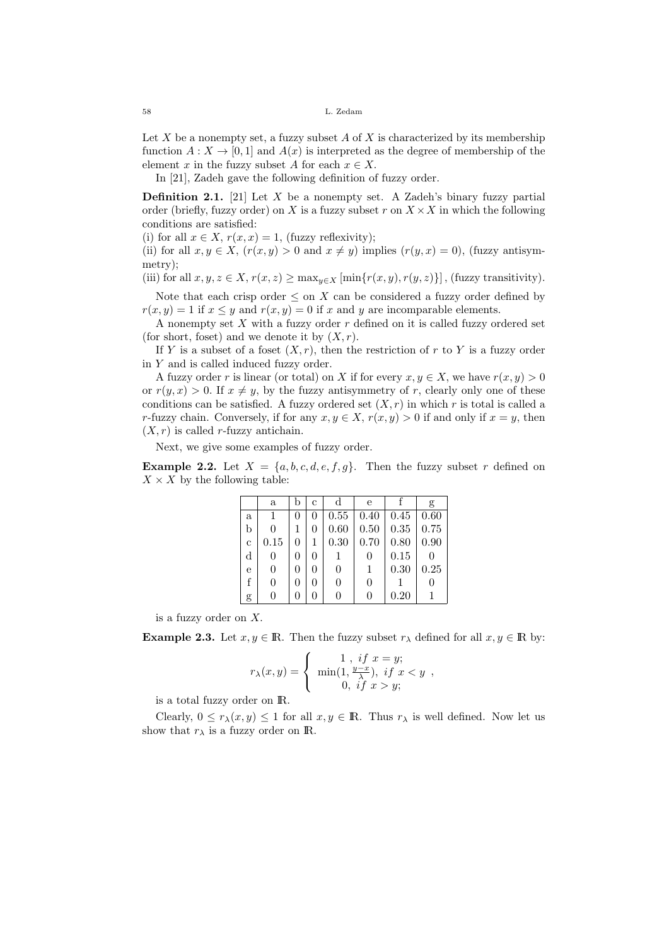Let X be a nonempty set, a fuzzy subset  $A$  of X is characterized by its membership function  $A: X \to [0,1]$  and  $A(x)$  is interpreted as the degree of membership of the element x in the fuzzy subset A for each  $x \in X$ .

In [21], Zadeh gave the following definition of fuzzy order.

**Definition 2.1.** [21] Let  $X$  be a nonempty set. A Zadeh's binary fuzzy partial order (briefly, fuzzy order) on X is a fuzzy subset r on  $X \times X$  in which the following conditions are satisfied:

(i) for all  $x \in X$ ,  $r(x, x) = 1$ , (fuzzy reflexivity);

(ii) for all  $x, y \in X$ ,  $(r(x, y) > 0$  and  $x \neq y$ ) implies  $(r(y, x) = 0)$ , (fuzzy antisymmetry);

(iii) for all  $x, y, z \in X$ ,  $r(x, z) \ge \max_{y \in X} [\min\{r(x, y), r(y, z)\}]$ , (fuzzy transitivity).

Note that each crisp order  $\leq$  on X can be considered a fuzzy order defined by  $r(x, y) = 1$  if  $x \leq y$  and  $r(x, y) = 0$  if x and y are incomparable elements.

A nonempty set  $X$  with a fuzzy order  $r$  defined on it is called fuzzy ordered set (for short, foset) and we denote it by  $(X, r)$ .

If Y is a subset of a foset  $(X, r)$ , then the restriction of r to Y is a fuzzy order in Y and is called induced fuzzy order.

A fuzzy order r is linear (or total) on X if for every  $x, y \in X$ , we have  $r(x, y) > 0$ or  $r(y, x) > 0$ . If  $x \neq y$ , by the fuzzy antisymmetry of r, clearly only one of these conditions can be satisfied. A fuzzy ordered set  $(X, r)$  in which r is total is called a r-fuzzy chain. Conversely, if for any  $x, y \in X$ ,  $r(x, y) > 0$  if and only if  $x = y$ , then  $(X, r)$  is called r-fuzzy antichain.

Next, we give some examples of fuzzy order.

**Example 2.2.** Let  $X = \{a, b, c, d, e, f, g\}$ . Then the fuzzy subset r defined on  $X \times X$  by the following table:

|             | $\mathbf{a}$   | b | $\mathbf{c}$ | $_{\rm d}$ | е                |      | g    |
|-------------|----------------|---|--------------|------------|------------------|------|------|
| a           | 1              | 0 | 0            | 0.55       | 0.40             | 0.45 | 0.60 |
| b           | 0              |   | 0            | 0.60       | 0.50             | 0.35 | 0.75 |
| $\mathbf c$ | 0.15           | 0 | 1            | 0.30       | 0.70             | 0.80 | 0.90 |
| d           | $\overline{0}$ | 0 | 0            |            | 0                | 0.15 |      |
| e           | 0              | 0 | 0            | 0          | 1                | 0.30 | 0.25 |
| f           | 0              | 0 | 0            | 0          | 0                |      |      |
| g           | 0              | 0 | 0            | 0          | $\left( \right)$ | 0.20 |      |

is a fuzzy order on X.

**Example 2.3.** Let  $x, y \in \mathbb{R}$ . Then the fuzzy subset  $r_{\lambda}$  defined for all  $x, y \in \mathbb{R}$  by:

$$
r_{\lambda}(x,y) = \begin{cases} 1, & if x = y; \\ \min(1, \frac{y-x}{\lambda}), & if x < y, \\ 0, & if x > y; \end{cases}
$$

is a total fuzzy order on IR.

Clearly,  $0 \leq r_{\lambda}(x, y) \leq 1$  for all  $x, y \in \mathbb{R}$ . Thus  $r_{\lambda}$  is well defined. Now let us show that  $r_{\lambda}$  is a fuzzy order on **R**.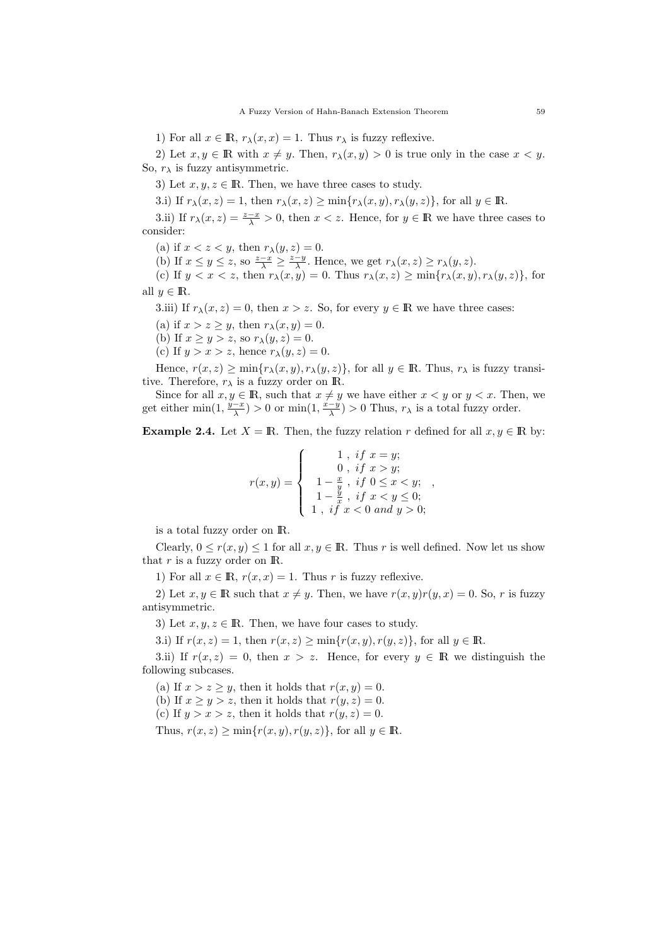1) For all  $x \in \mathbb{R}$ ,  $r_{\lambda}(x, x) = 1$ . Thus  $r_{\lambda}$  is fuzzy reflexive.

2) Let  $x, y \in \mathbb{R}$  with  $x \neq y$ . Then,  $r_{\lambda}(x, y) > 0$  is true only in the case  $x < y$ . So,  $r_{\lambda}$  is fuzzy antisymmetric.

3) Let  $x, y, z \in \mathbb{R}$ . Then, we have three cases to study.

3.i) If  $r_{\lambda}(x, z) = 1$ , then  $r_{\lambda}(x, z) \ge \min\{r_{\lambda}(x, y), r_{\lambda}(y, z)\}\)$ , for all  $y \in \mathbb{R}$ .

3.ii) If  $r_{\lambda}(x, z) = \frac{z - x}{\lambda} > 0$ , then  $x < z$ . Hence, for  $y \in \mathbb{R}$  we have three cases to consider:

(a) if  $x < z < y$ , then  $r_{\lambda}(y, z) = 0$ .

(b) If  $x \le y \le z$ , so  $\frac{z-x}{\lambda} \ge \frac{z-y}{\lambda}$ . Hence, we get  $r_{\lambda}(x, z) \ge r_{\lambda}(y, z)$ .

(c) If  $y < x < z$ , then  $r_{\lambda}(x, y) = 0$ . Thus  $r_{\lambda}(x, z) \ge \min\{r_{\lambda}(x, y), r_{\lambda}(y, z)\}\)$ , for all  $y \in \mathbb{R}$ .

3.iii) If  $r_{\lambda}(x, z) = 0$ , then  $x > z$ . So, for every  $y \in \mathbb{R}$  we have three cases:

(a) if  $x > z \geq y$ , then  $r_{\lambda}(x, y) = 0$ .

(b) If  $x \ge y > z$ , so  $r_{\lambda}(y, z) = 0$ .

(c) If  $y > x > z$ , hence  $r_{\lambda}(y, z) = 0$ .

Hence,  $r(x, z) \ge \min\{r_\lambda(x, y), r_\lambda(y, z)\}\$ , for all  $y \in \mathbb{R}$ . Thus,  $r_\lambda$  is fuzzy transitive. Therefore,  $r_{\lambda}$  is a fuzzy order on **R**.

Since for all  $x, y \in \mathbb{R}$ , such that  $x \neq y$  we have either  $x < y$  or  $y < x$ . Then, we get either  $\min(1, \frac{y-x}{\lambda}) > 0$  or  $\min(1, \frac{x-y}{\lambda}) > 0$  Thus,  $r_{\lambda}$  is a total fuzzy order.

**Example 2.4.** Let  $X = \mathbb{R}$ . Then, the fuzzy relation r defined for all  $x, y \in \mathbb{R}$  by:

$$
r(x,y) = \begin{cases} 1, & if \ x = y; \\ 0, & if \ x > y; \\ 1 - \frac{x}{y}, & if \ 0 \le x < y; \\ 1 - \frac{y}{x}, & if \ x < y \le 0; \\ 1, & if \ x < 0 \ and \ y > 0; \end{cases}
$$

,

is a total fuzzy order on IR.

Clearly,  $0 \le r(x, y) \le 1$  for all  $x, y \in \mathbb{R}$ . Thus r is well defined. Now let us show that  $r$  is a fuzzy order on  $\mathbb{R}$ .

1) For all  $x \in \mathbb{R}$ ,  $r(x, x) = 1$ . Thus r is fuzzy reflexive.

2) Let  $x, y \in \mathbb{R}$  such that  $x \neq y$ . Then, we have  $r(x, y)r(y, x) = 0$ . So, r is fuzzy antisymmetric.

3) Let  $x, y, z \in \mathbb{R}$ . Then, we have four cases to study.

3.i) If  $r(x, z) = 1$ , then  $r(x, z) \ge \min\{r(x, y), r(y, z)\}\)$ , for all  $y \in \mathbb{R}$ .

3.ii) If  $r(x, z) = 0$ , then  $x > z$ . Hence, for every  $y \in \mathbb{R}$  we distinguish the following subcases.

(a) If  $x > z \geq y$ , then it holds that  $r(x, y) = 0$ .

(b) If  $x \ge y > z$ , then it holds that  $r(y, z) = 0$ .

(c) If  $y > x > z$ , then it holds that  $r(y, z) = 0$ .

Thus,  $r(x, z) > \min\{r(x, y), r(y, z)\}\text{, for all } y \in \mathbb{R}.$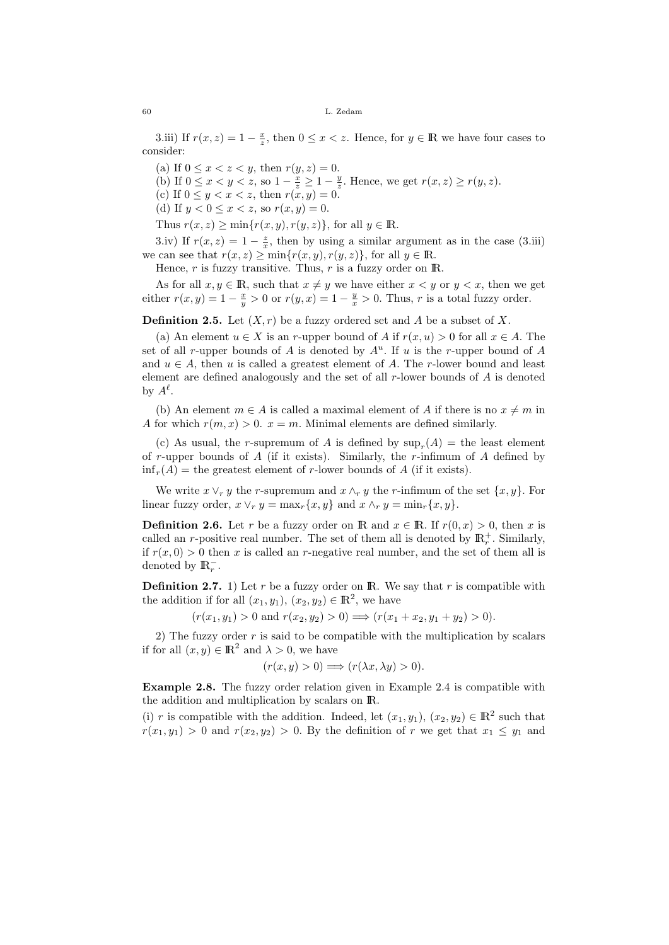3.iii) If  $r(x, z) = 1 - \frac{x}{z}$ , then  $0 \le x < z$ . Hence, for  $y \in \mathbb{R}$  we have four cases to consider:

(a) If  $0 \le x < z < y$ , then  $r(y, z) = 0$ .

(b) If  $0 \leq x < y < z$ , so  $1 - \frac{x}{z} \geq 1 - \frac{y}{z}$ . Hence, we get  $r(x, z) \geq r(y, z)$ .

(c) If  $0 \le y < x < z$ , then  $r(x, y) = 0$ .

(d) If  $y < 0 \le x < z$ , so  $r(x, y) = 0$ .

Thus  $r(x, z) \ge \min\{r(x, y), r(y, z)\}\)$ , for all  $y \in \mathbb{R}$ .

3.iv) If  $r(x, z) = 1 - \frac{z}{x}$ , then by using a similar argument as in the case (3.iii) we can see that  $r(x, z) \ge \min\{r(x, y), r(y, z)\}\)$  for all  $y \in \mathbb{R}$ .

Hence, r is fuzzy transitive. Thus, r is a fuzzy order on  $\mathbb{R}$ .

As for all  $x, y \in \mathbb{R}$ , such that  $x \neq y$  we have either  $x < y$  or  $y < x$ , then we get either  $r(x, y) = 1 - \frac{x}{y} > 0$  or  $r(y, x) = 1 - \frac{y}{x} > 0$ . Thus, r is a total fuzzy order.

**Definition 2.5.** Let  $(X, r)$  be a fuzzy ordered set and A be a subset of X.

(a) An element  $u \in X$  is an r-upper bound of A if  $r(x, u) > 0$  for all  $x \in A$ . The set of all r-upper bounds of A is denoted by  $A^u$ . If u is the r-upper bound of A and  $u \in A$ , then u is called a greatest element of A. The r-lower bound and least element are defined analogously and the set of all  $r$ -lower bounds of A is denoted by  $A^{\ell}$ .

(b) An element  $m \in A$  is called a maximal element of A if there is no  $x \neq m$  in A for which  $r(m, x) > 0$ .  $x = m$ . Minimal elements are defined similarly.

(c) As usual, the r-supremum of A is defined by  $\sup_r(A) =$  the least element of r-upper bounds of A (if it exists). Similarly, the r-infimum of A defined by  $\inf_r(A) =$  the greatest element of r-lower bounds of A (if it exists).

We write  $x \vee_r y$  the r-supremum and  $x \wedge_r y$  the r-infimum of the set  $\{x, y\}$ . For linear fuzzy order,  $x \vee_r y = \max_r \{x, y\}$  and  $x \wedge_r y = \min_r \{x, y\}.$ 

**Definition 2.6.** Let r be a fuzzy order on R and  $x \in \mathbb{R}$ . If  $r(0, x) > 0$ , then x is called an r-positive real number. The set of them all is denoted by  $\mathbb{R}^+_r$ . Similarly, if  $r(x, 0) > 0$  then x is called an r-negative real number, and the set of them all is denoted by  $\mathbb{R}_r^-$ .

**Definition 2.7.** 1) Let r be a fuzzy order on **R**. We say that r is compatible with the addition if for all  $(x_1, y_1), (x_2, y_2) \in \mathbb{R}^2$ , we have

 $(r(x_1, y_1) > 0 \text{ and } r(x_2, y_2) > 0) \Longrightarrow (r(x_1 + x_2, y_1 + y_2) > 0).$ 

2) The fuzzy order  $r$  is said to be compatible with the multiplication by scalars if for all  $(x, y) \in \mathbb{R}^2$  and  $\lambda > 0$ , we have

$$
(r(x, y) > 0) \Longrightarrow (r(\lambda x, \lambda y) > 0).
$$

Example 2.8. The fuzzy order relation given in Example 2.4 is compatible with the addition and multiplication by scalars on IR.

(i) r is compatible with the addition. Indeed, let  $(x_1, y_1)$ ,  $(x_2, y_2) \in \mathbb{R}^2$  such that  $r(x_1, y_1) > 0$  and  $r(x_2, y_2) > 0$ . By the definition of r we get that  $x_1 \leq y_1$  and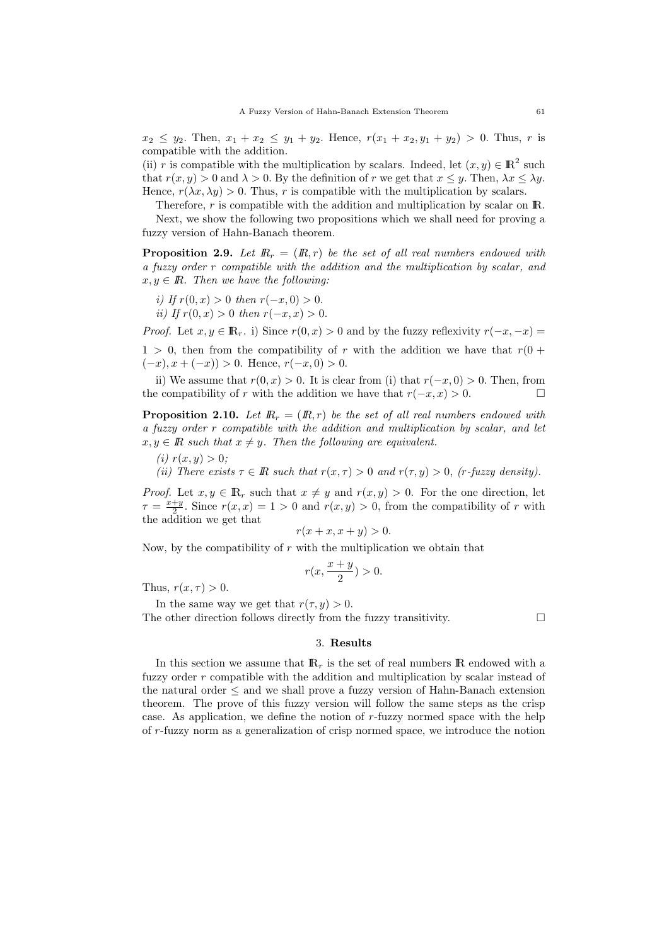$x_2 \leq y_2$ . Then,  $x_1 + x_2 \leq y_1 + y_2$ . Hence,  $r(x_1 + x_2, y_1 + y_2) > 0$ . Thus, r is compatible with the addition.

(ii) r is compatible with the multiplication by scalars. Indeed, let  $(x, y) \in \mathbb{R}^2$  such that  $r(x, y) > 0$  and  $\lambda > 0$ . By the definition of r we get that  $x \leq y$ . Then,  $\lambda x \leq \lambda y$ . Hence,  $r(\lambda x, \lambda y) > 0$ . Thus, r is compatible with the multiplication by scalars.

Therefore,  $r$  is compatible with the addition and multiplication by scalar on  $\mathbb{R}$ . Next, we show the following two propositions which we shall need for proving a fuzzy version of Hahn-Banach theorem.

**Proposition 2.9.** Let  $\mathbb{R}_r = (\mathbb{R}, r)$  be the set of all real numbers endowed with a fuzzy order r compatible with the addition and the multiplication by scalar, and  $x, y \in \mathbb{R}$ . Then we have the following:

- i) If  $r(0, x) > 0$  then  $r(-x, 0) > 0$ .
- ii) If  $r(0, x) > 0$  then  $r(-x, x) > 0$ .

*Proof.* Let  $x, y \in \mathbb{R}_r$ . i) Since  $r(0, x) > 0$  and by the fuzzy reflexivity  $r(-x, -x) =$  $1 > 0$ , then from the compatibility of r with the addition we have that  $r(0 + 1)$  $(-x), x + (-x)$ ) > 0. Hence,  $r(-x, 0) > 0$ .

ii) We assume that  $r(0, x) > 0$ . It is clear from (i) that  $r(-x, 0) > 0$ . Then, from the compatibility of r with the addition we have that  $r(-x, x) > 0$ .

**Proposition 2.10.** Let  $\mathbb{R}_r = (\mathbb{R}, r)$  be the set of all real numbers endowed with a fuzzy order r compatible with the addition and multiplication by scalar, and let  $x, y \in \mathbb{R}$  such that  $x \neq y$ . Then the following are equivalent.

(*i*)  $r(x, y) > 0$ ;

(ii) There exists  $\tau \in \mathbb{R}$  such that  $r(x, \tau) > 0$  and  $r(\tau, y) > 0$ , (r-fuzzy density).

*Proof.* Let  $x, y \in \mathbb{R}_r$  such that  $x \neq y$  and  $r(x, y) > 0$ . For the one direction, let  $\tau = \frac{x+y}{2}$ . Since  $r(x, x) = 1 > 0$  and  $r(x, y) > 0$ , from the compatibility of r with the addition we get that

$$
r(x+x, x+y) > 0.
$$

Now, by the compatibility of  $r$  with the multiplication we obtain that

$$
r(x, \frac{x+y}{2}) > 0.
$$

Thus,  $r(x, \tau) > 0$ .

In the same way we get that  $r(\tau, y) > 0$ .

The other direction follows directly from the fuzzy transitivity.  $\Box$ 

## 3. Results

In this section we assume that  $\mathbb{R}_r$  is the set of real numbers  $\mathbb R$  endowed with a fuzzy order r compatible with the addition and multiplication by scalar instead of the natural order  $\leq$  and we shall prove a fuzzy version of Hahn-Banach extension theorem. The prove of this fuzzy version will follow the same steps as the crisp case. As application, we define the notion of r-fuzzy normed space with the help of r-fuzzy norm as a generalization of crisp normed space, we introduce the notion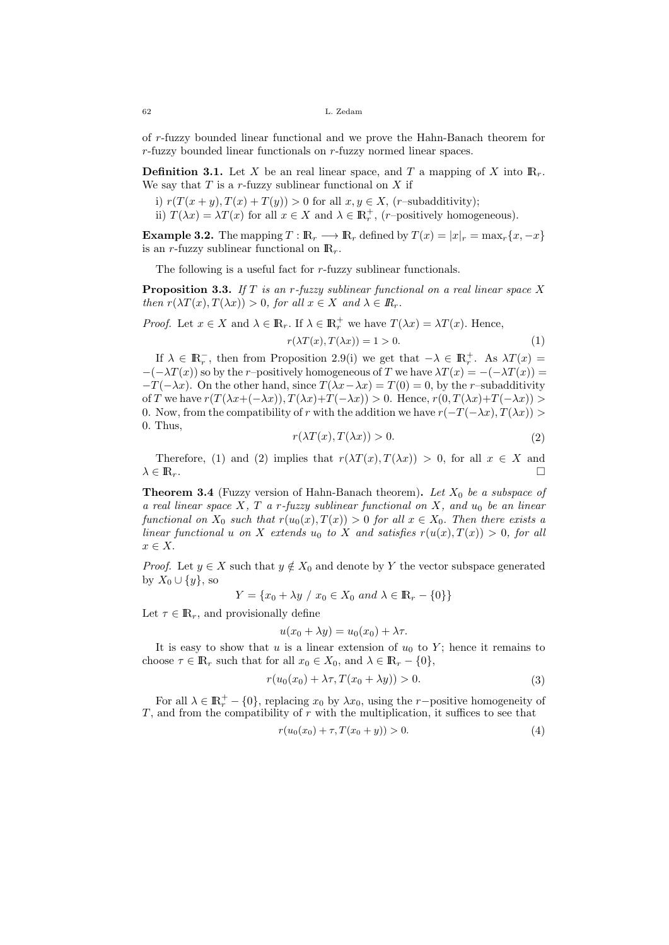of r-fuzzy bounded linear functional and we prove the Hahn-Banach theorem for r-fuzzy bounded linear functionals on r-fuzzy normed linear spaces.

**Definition 3.1.** Let X be an real linear space, and T a mapping of X into  $\mathbb{R}_r$ . We say that  $T$  is a r-fuzzy sublinear functional on  $X$  if

i)  $r(T(x + y), T(x) + T(y)) > 0$  for all  $x, y \in X$ , (*r*–subadditivity);

ii)  $T(\lambda x) = \lambda T(x)$  for all  $x \in X$  and  $\lambda \in \mathbb{R}^+_r$ , (*r*-positively homogeneous).

**Example 3.2.** The mapping  $T : \mathbb{R}_r \longrightarrow \mathbb{R}_r$  defined by  $T(x) = |x|_r = \max_r \{x, -x\}$ is an r-fuzzy sublinear functional on  $\mathbb{R}_r$ .

The following is a useful fact for r-fuzzy sublinear functionals.

**Proposition 3.3.** If T is an r-fuzzy sublinear functional on a real linear space X then  $r(\lambda T(x), T(\lambda x)) > 0$ , for all  $x \in X$  and  $\lambda \in \mathbb{R}_r$ .

*Proof.* Let  $x \in X$  and  $\lambda \in \mathbb{R}_r$ . If  $\lambda \in \mathbb{R}_r^+$  we have  $T(\lambda x) = \lambda T(x)$ . Hence,

$$
r(\lambda T(x), T(\lambda x)) = 1 > 0.
$$
\n<sup>(1)</sup>

If  $\lambda \in \mathbb{R}^+_r$ , then from Proposition 2.9(i) we get that  $-\lambda \in \mathbb{R}^+_r$ . As  $\lambda T(x) =$  $-(-\lambda T(x))$  so by the r–positively homogeneous of T we have  $\lambda T(x) = -(-\lambda T(x)) =$  $-T(-\lambda x)$ . On the other hand, since  $T(\lambda x - \lambda x) = T(0) = 0$ , by the r–subadditivity of T we have  $r(T(\lambda x + (-\lambda x)), T(\lambda x) + T(-\lambda x)) > 0$ . Hence,  $r(0, T(\lambda x) + T(-\lambda x)) > 0$ 0. Now, from the compatibility of r with the addition we have  $r(-T(-\lambda x), T(\lambda x)) >$ 0. Thus,

$$
r(\lambda T(x), T(\lambda x)) > 0.
$$
\n<sup>(2)</sup>

Therefore, (1) and (2) implies that  $r(\lambda T(x), T(\lambda x)) > 0$ , for all  $x \in X$  and  $\lambda \in \mathbb{R}_r$ .

**Theorem 3.4** (Fuzzy version of Hahn-Banach theorem). Let  $X_0$  be a subspace of a real linear space X, T a r-fuzzy sublinear functional on X, and  $u_0$  be an linear functional on  $X_0$  such that  $r(u_0(x), T(x)) > 0$  for all  $x \in X_0$ . Then there exists a linear functional u on X extends u<sub>0</sub> to X and satisfies  $r(u(x), T(x)) > 0$ , for all  $r \in X$ 

*Proof.* Let  $y \in X$  such that  $y \notin X_0$  and denote by Y the vector subspace generated by  $X_0 \cup \{y\}$ , so

$$
Y = \{x_0 + \lambda y \ / \ x_0 \in X_0 \ and \ \lambda \in \mathbb{R}_r - \{0\}\}\
$$

Let  $\tau \in \mathbb{R}_r$ , and provisionally define

$$
u(x_0 + \lambda y) = u_0(x_0) + \lambda \tau.
$$

It is easy to show that u is a linear extension of  $u_0$  to Y; hence it remains to choose  $\tau \in \mathbb{R}_r$  such that for all  $x_0 \in X_0$ , and  $\lambda \in \mathbb{R}_r - \{0\},$ 

$$
r(u_0(x_0) + \lambda \tau, T(x_0 + \lambda y)) > 0.
$$
\n<sup>(3)</sup>

For all  $\lambda \in \mathbb{R}_r^+ - \{0\}$ , replacing  $x_0$  by  $\lambda x_0$ , using the r-positive homogeneity of  $T$ , and from the compatibility of  $r$  with the multiplication, it suffices to see that

$$
r(u_0(x_0) + \tau, T(x_0 + y)) > 0.
$$
\n(4)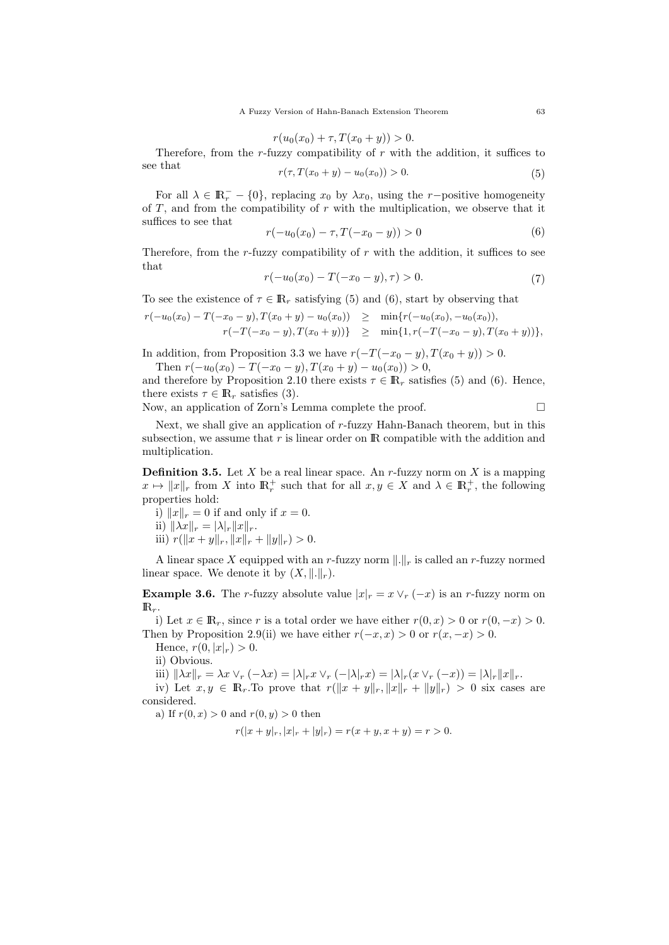$$
r(u_0(x_0) + \tau, T(x_0 + y)) > 0.
$$

Therefore, from the r-fuzzy compatibility of  $r$  with the addition, it suffices to see that  $r(\tau, T(n+1)) \sim (n+1) \sim 0.$ 

$$
r(\tau, T(x_0 + y) - u_0(x_0)) > 0. \tag{5}
$$

For all  $\lambda \in \mathbb{R}^-_r - \{0\}$ , replacing  $x_0$  by  $\lambda x_0$ , using the r-positive homogeneity of  $T$ , and from the compatibility of  $r$  with the multiplication, we observe that it suffices to see that

$$
r(-u_0(x_0) - \tau, T(-x_0 - y)) > 0 \tag{6}
$$

Therefore, from the r-fuzzy compatibility of  $r$  with the addition, it suffices to see that

$$
r(-u_0(x_0) - T(-x_0 - y), \tau) > 0. \tag{7}
$$

To see the existence of  $\tau \in \mathbb{R}_r$  satisfying (5) and (6), start by observing that

$$
r(-u_0(x_0) - T(-x_0 - y), T(x_0 + y) - u_0(x_0)) \ge \min\{r(-u_0(x_0), -u_0(x_0)),
$$
  

$$
r(-T(-x_0 - y), T(x_0 + y))\} \ge \min\{1, r(-T(-x_0 - y), T(x_0 + y))\},
$$

In addition, from Proposition 3.3 we have  $r(-T(-x_0 - y), T(x_0 + y)) > 0$ . Then  $r(-u_0(x_0) - T(-x_0 - y), T(x_0 + y) - u_0(x_0)) > 0$ ,

and therefore by Proposition 2.10 there exists  $\tau \in \mathbb{R}_{r}$  satisfies (5) and (6). Hence, there exists  $\tau \in \mathbb{R}_r$  satisfies (3).

Now, an application of Zorn's Lemma complete the proof.

Next, we shall give an application of r-fuzzy Hahn-Banach theorem, but in this subsection, we assume that  $r$  is linear order on  $\mathbb R$  compatible with the addition and multiplication.

**Definition 3.5.** Let  $X$  be a real linear space. An  $r$ -fuzzy norm on  $X$  is a mapping  $x \mapsto ||x||_r$  from X into  $\mathbb{R}_r^+$  such that for all  $x, y \in X$  and  $\lambda \in \mathbb{R}_r^+$ , the following properties hold:

- i)  $||x||_r = 0$  if and only if  $x = 0$ .
- ii)  $\|\lambda x\|_r = |\lambda|_r \|x\|_r.$

iii) 
$$
r(||x + y||_r, ||x||_r + ||y||_r) > 0.
$$

A linear space X equipped with an r-fuzzy norm  $\|.\|_r$  is called an r-fuzzy normed linear space. We denote it by  $(X, \|.\|_r)$ .

**Example 3.6.** The r-fuzzy absolute value  $|x|_r = x \vee_r (-x)$  is an r-fuzzy norm on  $\mathbb{R}_r$ .

i) Let  $x \in \mathbb{R}_r$ , since r is a total order we have either  $r(0, x) > 0$  or  $r(0, -x) > 0$ . Then by Proposition 2.9(ii) we have either  $r(-x, x) > 0$  or  $r(x, -x) > 0$ .

Hence,  $r(0, |x|_r) > 0$ .

ii) Obvious.

iii)  $\|\lambda x\|_r = \lambda x \vee_r (-\lambda x) = |\lambda|_r x \vee_r (-|\lambda|_r x) = |\lambda|_r (x \vee_r (-x)) = |\lambda|_r \|x\|_r.$ 

iv) Let  $x, y \in \mathbb{R}_r$ . To prove that  $r(||x + y||_r, ||x||_r + ||y||_r) > 0$  six cases are considered.

a) If  $r(0, x) > 0$  and  $r(0, y) > 0$  then

$$
r(|x + y|_r, |x|_r + |y|_r) = r(x + y, x + y) = r > 0.
$$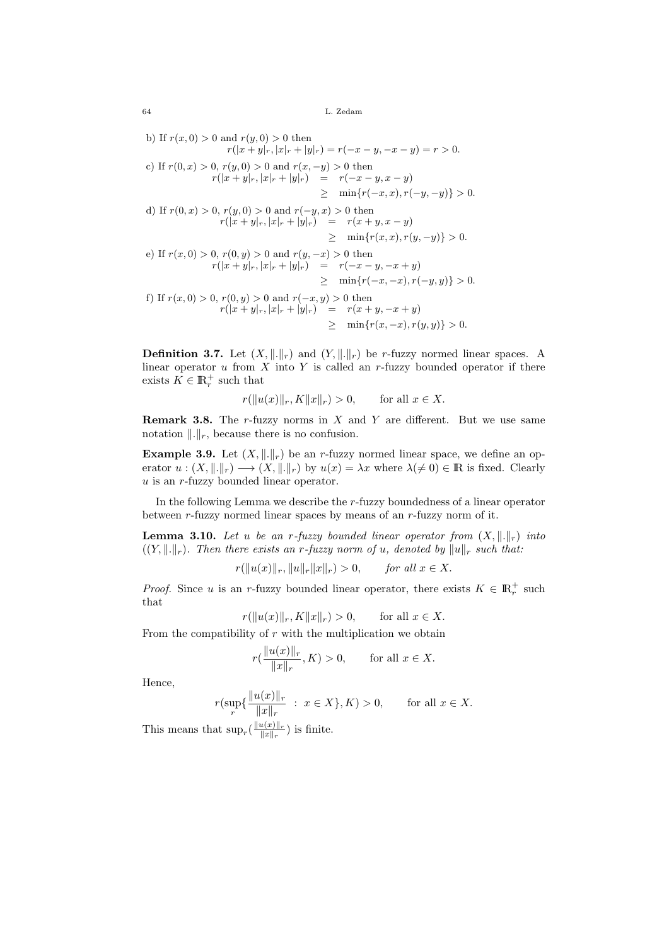b) If  $r(x, 0) > 0$  and  $r(y, 0) > 0$  then  $r(|x + y|_r, |x|_r + |y|_r) = r(-x - y, -x - y) = r > 0.$ c) If  $r(0, x) > 0$ ,  $r(y, 0) > 0$  and  $r(x, -y) > 0$  then  $r(|x+y|_r, |x|_r + |y|_r) = r(-x-y, x-y)$  $\geq \min\{r(-x, x), r(-y, -y)\} > 0.$ d) If  $r(0, x) > 0$ ,  $r(y, 0) > 0$  and  $r(-y, x) > 0$  then  $r(|x+y|_r, |x|_r + |y|_r) = r(x+y, x-y)$  $\geq \min\{r(x, x), r(y, -y)\} > 0.$ e) If  $r(x, 0) > 0$ ,  $r(0, y) > 0$  and  $r(y, -x) > 0$  then  $r(|x+y|_r, |x|_r + |y|_r) = r(-x-y, -x+y)$  $\geq \min\{r(-x, -x), r(-y, y)\} > 0.$ f) If  $r(x, 0) > 0$ ,  $r(0, y) > 0$  and  $r(-x, y) > 0$  then  $r(|x+y|_r, |x|_r + |y|_r) = r(x+y, -x+y)$  $\geq \min\{r(x, -x), r(y, y)\} > 0.$ 

**Definition 3.7.** Let  $(X, \|.\|_r)$  and  $(Y, \|.\|_r)$  be r-fuzzy normed linear spaces. A linear operator  $u$  from  $X$  into  $Y$  is called an  $r$ -fuzzy bounded operator if there exists  $K \in \mathbb{R}_r^+$  such that

$$
r(||u(x)||_r, K||x||_r) > 0, \quad \text{for all } x \in X.
$$

**Remark 3.8.** The r-fuzzy norms in  $X$  and  $Y$  are different. But we use same notation  $\Vert .\Vert_r$ , because there is no confusion.

**Example 3.9.** Let  $(X, \|\cdot\|_r)$  be an r-fuzzy normed linear space, we define an operator  $u : (X, \|\cdot\|_r) \longrightarrow (X, \|\cdot\|_r)$  by  $u(x) = \lambda x$  where  $\lambda \neq 0 \in \mathbb{R}$  is fixed. Clearly u is an r-fuzzy bounded linear operator.

In the following Lemma we describe the r-fuzzy boundedness of a linear operator between r-fuzzy normed linear spaces by means of an r-fuzzy norm of it.

**Lemma 3.10.** Let u be an r-fuzzy bounded linear operator from  $(X, \|\cdot\|_r)$  into  $((Y, \lVert \cdot \rVert_r)$ . Then there exists an r-fuzzy norm of u, denoted by  $\lVert u \rVert_r$  such that:

$$
r(\|u(x)\|_r, \|u\|_r \|x\|_r) > 0,
$$
 for all  $x \in X$ .

*Proof.* Since u is an r-fuzzy bounded linear operator, there exists  $K \in \mathbb{R}^+_r$  such that

$$
r(\|u(x)\|_r, K\|x\|_r) > 0,
$$
 for all  $x \in X$ .

From the compatibility of  $r$  with the multiplication we obtain

$$
r(\frac{\|u(x)\|_r}{\|x\|_r}, K) > 0, \quad \text{for all } x \in X.
$$

Hence,

$$
r(\sup_{r} \{ \frac{\|u(x)\|_{r}}{\|x\|_{r}} : x \in X \}, K) > 0, \quad \text{for all } x \in X.
$$

This means that  $\sup_{r}(\frac{\|u(x)\|_r}{\|x\|_r})$  $\frac{u(x)\|r}{\|x\|_r}$  is finite.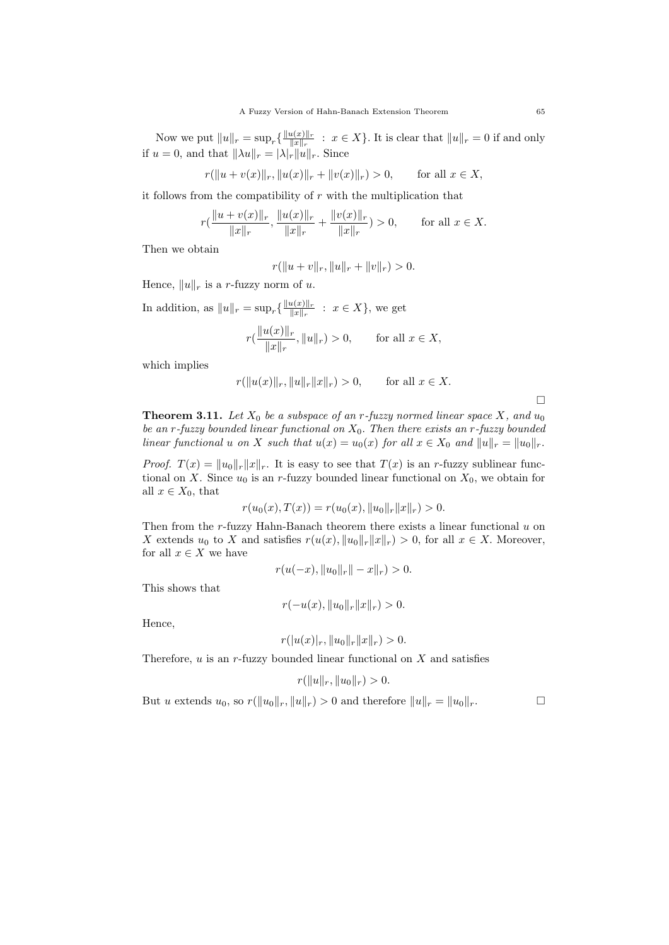Now we put  $||u||_r = \sup_r \left\{ \frac{||u(x)||_r}{||x||_r} \right\}$  $\frac{u(x)}{\|x\|_r}$  :  $x \in X$ . It is clear that  $\|u\|_r = 0$  if and only if  $u = 0$ , and that  $\|\lambda u\|_r = |\lambda|_r \|u\|_r$ . Since

$$
r(\|u + v(x)\|_r, \|u(x)\|_r + \|v(x)\|_r) > 0,
$$
 for all  $x \in X$ ,

it follows from the compatibility of  $r$  with the multiplication that

$$
r\left(\frac{\|u+v(x)\|_r}{\|x\|_r}, \frac{\|u(x)\|_r}{\|x\|_r} + \frac{\|v(x)\|_r}{\|x\|_r}\right) > 0, \quad \text{for all } x \in X.
$$

Then we obtain

$$
r(||u + v||r, ||u||r + ||v||r) > 0.
$$

Hence,  $||u||_r$  is a r-fuzzy norm of u.

In addition, as  $||u||_r = \sup_r \left\{ \frac{||u(x)||_r}{||x||_r} \right\}$  $\frac{u(x)}{\|x\|_r}$  :  $x \in X$ , we get

$$
r(\frac{\|u(x)\|_r}{\|x\|_r}, \|u\|_r) > 0, \quad \text{for all } x \in X,
$$

which implies

$$
r(\|u(x)\|_r, \|u\|_r \|x\|_r) > 0,
$$
 for all  $x \in X$ .

 $\Box$ 

**Theorem 3.11.** Let  $X_0$  be a subspace of an r-fuzzy normed linear space X, and  $u_0$ be an r-fuzzy bounded linear functional on  $X_0$ . Then there exists an r-fuzzy bounded linear functional u on X such that  $u(x) = u_0(x)$  for all  $x \in X_0$  and  $||u||_r = ||u_0||_r$ .

*Proof.*  $T(x) = ||u_0||_r ||x||_r$ . It is easy to see that  $T(x)$  is an r-fuzzy sublinear functional on X. Since  $u_0$  is an r-fuzzy bounded linear functional on  $X_0$ , we obtain for all  $x \in X_0$ , that

$$
r(u_0(x), T(x)) = r(u_0(x), \|u_0\|_r \|x\|_r) > 0.
$$

Then from the  $r$ -fuzzy Hahn-Banach theorem there exists a linear functional  $u$  on X extends  $u_0$  to X and satisfies  $r(u(x), \|u_0\|_r \|x\|_r) > 0$ , for all  $x \in X$ . Moreover, for all  $x \in X$  we have

$$
r(u(-x), \|u_0\|_r - x\|_r) > 0.
$$

This shows that

$$
r(-u(x), \|u_0\|_r \|x\|_r) > 0.
$$

Hence,

$$
r(|u(x)|_r, \|u_0\|_r \|x\|_r) > 0.
$$

Therefore,  $u$  is an r-fuzzy bounded linear functional on  $X$  and satisfies

$$
r(||u||_r, ||u_0||_r) > 0.
$$

But u extends  $u_0$ , so  $r(\|u_0\|_r, \|u\|_r) > 0$  and therefore  $\|u\|_r = \|u_0\|_r$ .